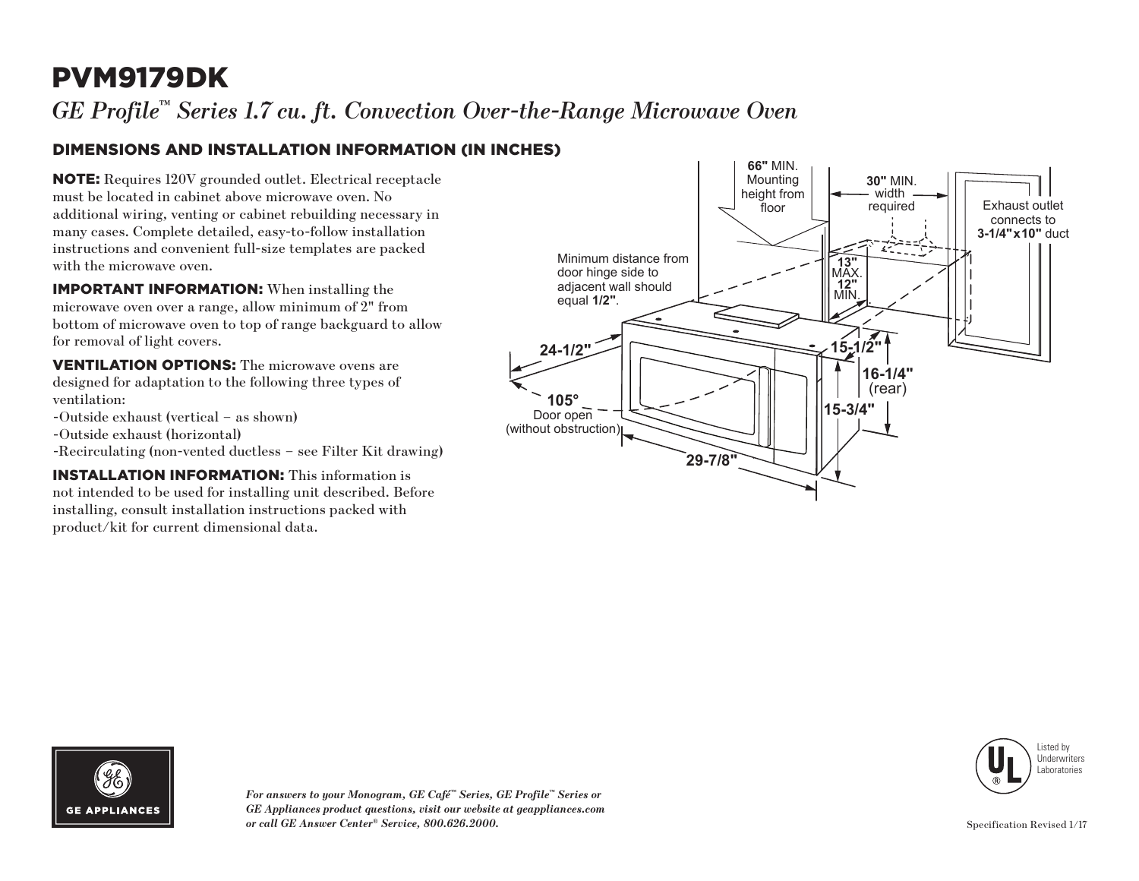## PVM9179DK

*GE Profile™ Series 1.7 cu. ft. Convection Over-the-Range Microwave Oven*

#### DIMENSIONS AND INSTALLATION INFORMATION (IN INCHES)

NOTE: Requires 120V grounded outlet. Electrical receptacle must be located in cabinet above microwave oven. No additional wiring, venting or cabinet rebuilding necessary in many cases. Complete detailed, easy-to-follow installation instructions and convenient full-size templates are packed with the microwave oven.

IMPORTANT INFORMATION: When installing the microwave oven over a range, allow minimum of 2" from bottom of microwave oven to top of range backguard to allow for removal of light covers.

VENTILATION OPTIONS: The microwave ovens are designed for adaptation to the following three types of ventilation:

- -Outside exhaust (vertical as shown)
- -Outside exhaust (horizontal)
- -Recirculating (non-vented ductless see Filter Kit drawing)

INSTALLATION INFORMATION: This information is not intended to be used for installing unit described. Before installing, consult installation instructions packed with product/kit for current dimensional data.







*For answers to your Monogram, GE Café™ Series, GE Profile™ Series or GE Appliances product questions, visit our website at geappliances.com or call GE Answer Center® Service, 800.626.2000.*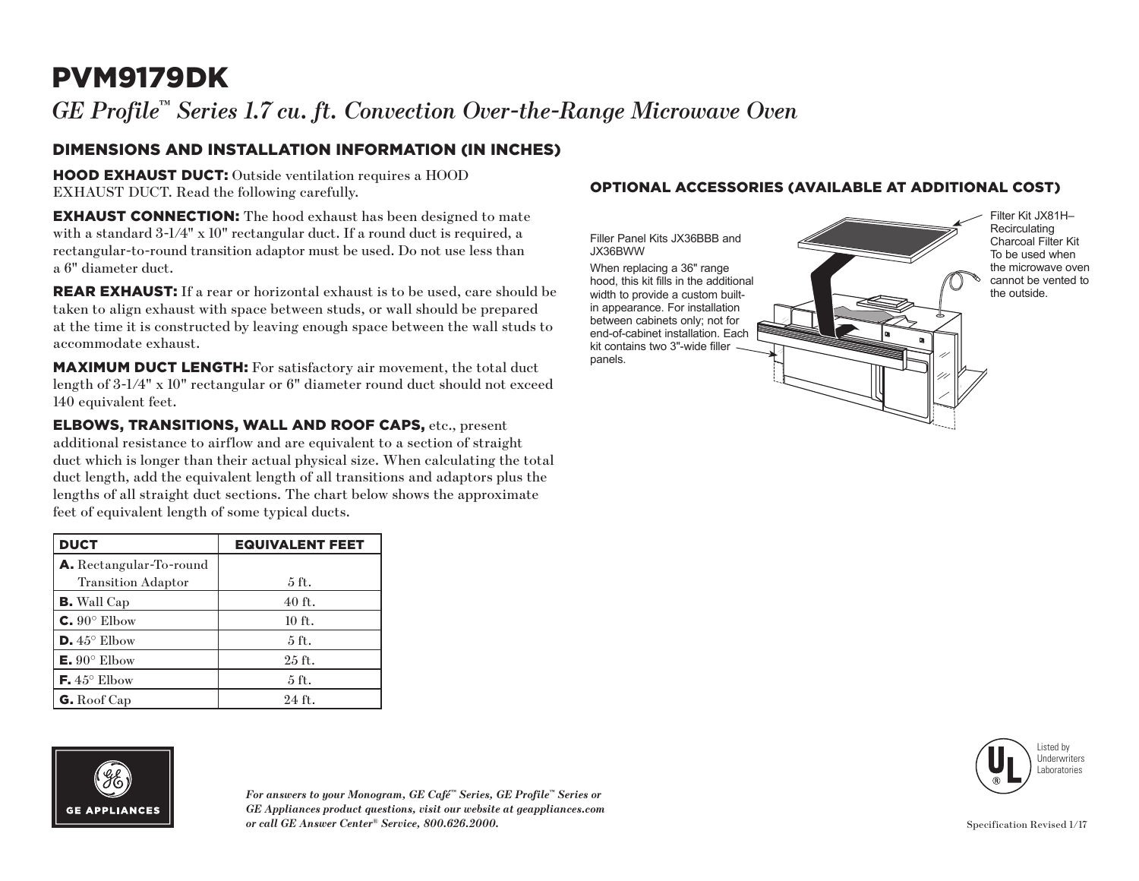## PVM9179DK

*GE Profile™ Series 1.7 cu. ft. Convection Over-the-Range Microwave Oven*

#### DIMENSIONS AND INSTALLATION INFORMATION (IN INCHES)

HOOD EXHAUST DUCT: Outside ventilation requires a HOOD EXHAUST DUCT. Read the following carefully.

**EXHAUST CONNECTION:** The hood exhaust has been designed to mate with a standard  $3\text{-}1/4$ " x 10" rectangular duct. If a round duct is required, a rectangular-to-round transition adaptor must be used. Do not use less than a 6" diameter duct.

REAR EXHAUST: If a rear or horizontal exhaust is to be used, care should be taken to align exhaust with space between studs, or wall should be prepared at the time it is constructed by leaving enough space between the wall studs to accommodate exhaust.

MAXIMUM DUCT LENGTH: For satisfactory air movement, the total duct length of 3-1/4" x 10" rectangular or 6" diameter round duct should not exceed 140 equivalent feet.

ELBOWS, TRANSITIONS, WALL AND ROOF CAPS, etc., present additional resistance to airflow and are equivalent to a section of straight duct which is longer than their actual physical size. When calculating the total duct length, add the equivalent length of all transitions and adaptors plus the lengths of all straight duct sections. The chart below shows the approximate feet of equivalent length of some typical ducts.

| <b>DUCT</b>                    | <b>EQUIVALENT FEET</b> |
|--------------------------------|------------------------|
| <b>A.</b> Rectangular-To-round |                        |
| <b>Transition Adaptor</b>      | 5 ft.                  |
| <b>B.</b> Wall Cap             | $40$ ft.               |
| $C. 90^\circ$ Elbow            | 10 ft.                 |
| $\mathsf{D.45}^{\circ}$ Elbow  | 5 <sub>ft</sub>        |
| $E. 90^{\circ}$ Elbow          | $25$ ft.               |
| $\mathsf{F.}45^{\circ}$ Elbow  | $5$ ft.                |
| $G.$ Roof Cap                  | $24$ ft.               |

# **GE APPLIANCES**

#### Listed by Underwriters Laboratories

*For answers to your Monogram, GE Café™ Series, GE Profile™ Series or GE Appliances product questions, visit our website at geappliances.com or call GE Answer Center® Service, 800.626.2000.*

#### OPTIONAL ACCESSORIES (AVAILABLE AT ADDITIONAL COST)